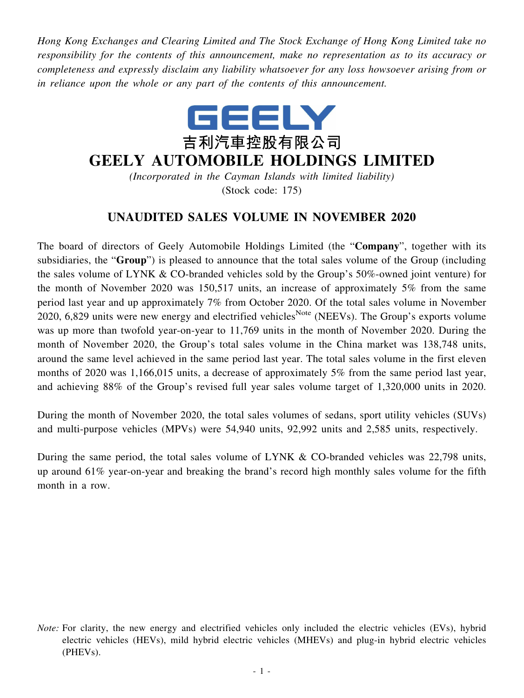*Hong Kong Exchanges and Clearing Limited and The Stock Exchange of Hong Kong Limited take no responsibility for the contents of this announcement, make no representation as to its accuracy or completeness and expressly disclaim any liability whatsoever for any loss howsoever arising from or in reliance upon the whole or any part of the contents of this announcement.*



## **GEELY AUTOMOBILE HOLDINGS LIMITED**

*(Incorporated in the Cayman Islands with limited liability)* (Stock code: 175)

## **UNAUDITED SALES VOLUME IN NOVEMBER 2020**

The board of directors of Geely Automobile Holdings Limited (the "**Company**", together with its subsidiaries, the "**Group**") is pleased to announce that the total sales volume of the Group (including the sales volume of LYNK & CO-branded vehicles sold by the Group's 50%-owned joint venture) for the month of November 2020 was 150,517 units, an increase of approximately 5% from the same period last year and up approximately 7% from October 2020. Of the total sales volume in November 2020, 6,829 units were new energy and electrified vehicles<sup>Note</sup> (NEEVs). The Group's exports volume was up more than twofold year-on-year to 11,769 units in the month of November 2020. During the month of November 2020, the Group's total sales volume in the China market was 138,748 units, around the same level achieved in the same period last year. The total sales volume in the first eleven months of 2020 was 1,166,015 units, a decrease of approximately 5% from the same period last year, and achieving 88% of the Group's revised full year sales volume target of 1,320,000 units in 2020.

During the month of November 2020, the total sales volumes of sedans, sport utility vehicles (SUVs) and multi-purpose vehicles (MPVs) were 54,940 units, 92,992 units and 2,585 units, respectively.

During the same period, the total sales volume of LYNK & CO-branded vehicles was 22,798 units, up around 61% year-on-year and breaking the brand's record high monthly sales volume for the fifth month in a row.

*Note:* For clarity, the new energy and electrified vehicles only included the electric vehicles (EVs), hybrid electric vehicles (HEVs), mild hybrid electric vehicles (MHEVs) and plug-in hybrid electric vehicles (PHEVs).